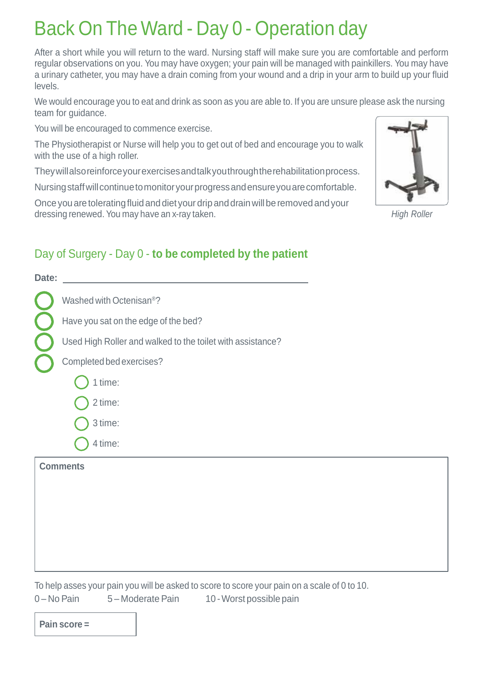## Back On The Ward - Day 0 - Operation day

After a short while you will return to the ward. Nursing staff will make sure you are comfortable and perform regular observations on you. You may have oxygen; your pain will be managed with painkillers. You may have a urinary catheter, you may have a drain coming from your wound and a drip in your arm to build up your fluid levels.

We would encourage you to eat and drink as soon as you are able to. If you are unsure please ask the nursing team for guidance.

You will be encouraged to commence exercise.

The Physiotherapist or Nurse will help you to get out of bed and encourage you to walk with the use of a high roller.

Theywillalsoreinforceyourexercisesandtalkyouthroughtherehabilitationprocess.

Nursing staff will continue to monitor your progress and ensure you are comfortable.

Once you are tolerating fluid and diet your drip and drain will be removed and your dressing renewed. You may have an x-ray taken.

### Day of Surgery - Day 0 - **to be completed by the patient**

| Date: |                                                            |
|-------|------------------------------------------------------------|
|       | Washed with Octenisan <sup>®</sup> ?                       |
|       | Have you sat on the edge of the bed?                       |
|       | Used High Roller and walked to the toilet with assistance? |
|       | Completed bed exercises?                                   |
|       | 1 time:                                                    |
|       | 2 time:                                                    |
|       | 3 time:                                                    |
|       | 4 time:                                                    |
|       | Comments                                                   |



*High Roller*

To help asses your pain you will be asked to score to score your pain on a scale of 0 to 10. 0 – No Pain 5 – Moderate Pain 10 - Worst possible pain

**Pain score =**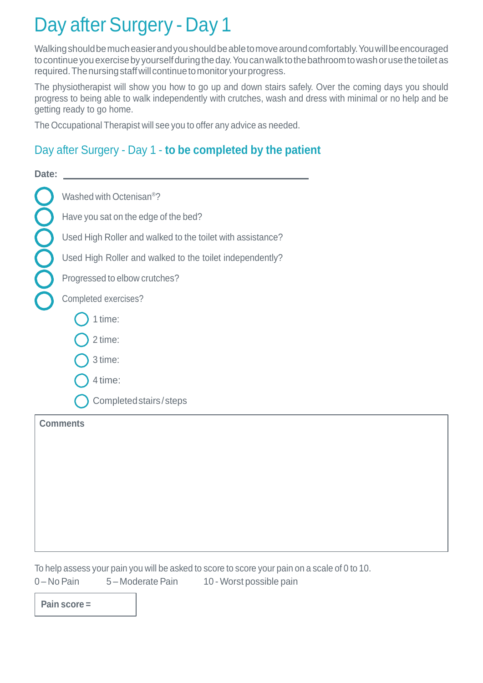## Day after Surgery - Day 1

Walkingshouldbemucheasierandyoushouldbeabletomovearoundcomfortably.Youwillbeencouraged to continue you exercise by yourself during the day. You can walk to the bathroom to wash or use the toilet as required. The nursing staff will continue to monitor your progress.

The physiotherapist will show you how to go up and down stairs safely. Over the coming days you should progress to being able to walk independently with crutches, wash and dress with minimal or no help and be getting ready to go home.

The Occupational Therapist will see you to offer any advice as needed.

#### Day after Surgery - Day 1 - **to be completed by the patient**

| Date: |                                                            |
|-------|------------------------------------------------------------|
|       | Washed with Octenisan <sup>®</sup> ?                       |
|       | Have you sat on the edge of the bed?                       |
|       | Used High Roller and walked to the toilet with assistance? |
|       | Used High Roller and walked to the toilet independently?   |
|       | Progressed to elbow crutches?                              |
|       | Completed exercises?                                       |
|       | 1 time:                                                    |
|       | 2 time:                                                    |
|       | 3 time:                                                    |
|       | 4 time:                                                    |
|       | Completed stairs/steps                                     |
|       | <b>Comments</b>                                            |
|       |                                                            |
|       |                                                            |
|       |                                                            |

To help assess your pain you will be asked to score to score your pain on a scale of 0 to 10. 0 – No Pain 5 – Moderate Pain 10 - Worst possible pain

**Pain score =**